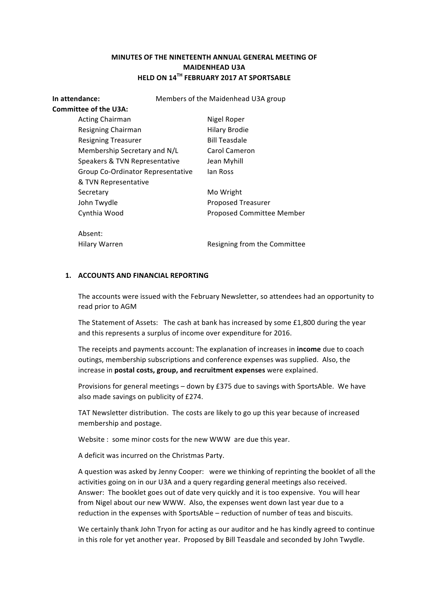# **MINUTES OF THE NINETEENTH ANNUAL GENERAL MEETING OF MAIDENHEAD U3A HELD ON 14TH FEBRUARY 2017 AT SPORTSABLE**

**In attendance:** Members of the Maidenhead U3A group **Committee of the U3A:** Acting Chairman Nigel Roper Resigning Chairman **Hilary Brodie** Resigning Treasurer **Bill Teasdale** Membership Secretary and N/L Carol Cameron Speakers & TVN Representative Jean Myhill Group Co-Ordinator Representative Ian Ross & TVN Representative Secretary Mo Wright John Twydle **National Communist Communist Proposed Treasurer** Cynthia Wood **Proposed Committee Member** Absent: Hilary Warren **Resigning** from the Committee

#### 1. **ACCOUNTS AND FINANCIAL REPORTING**

The accounts were issued with the February Newsletter, so attendees had an opportunity to read prior to AGM

The Statement of Assets: The cash at bank has increased by some  $£1,800$  during the year and this represents a surplus of income over expenditure for 2016.

The receipts and payments account: The explanation of increases in **income** due to coach outings, membership subscriptions and conference expenses was supplied. Also, the increase in **postal costs, group, and recruitment expenses** were explained.

Provisions for general meetings  $-$  down by  $£375$  due to savings with SportsAble. We have also made savings on publicity of £274.

TAT Newsletter distribution. The costs are likely to go up this year because of increased membership and postage.

Website : some minor costs for the new WWW are due this year.

A deficit was incurred on the Christmas Party.

A question was asked by Jenny Cooper: were we thinking of reprinting the booklet of all the activities going on in our U3A and a query regarding general meetings also received. Answer: The booklet goes out of date very quickly and it is too expensive. You will hear from Nigel about our new WWW. Also, the expenses went down last year due to a reduction in the expenses with SportsAble – reduction of number of teas and biscuits.

We certainly thank John Tryon for acting as our auditor and he has kindly agreed to continue in this role for yet another year. Proposed by Bill Teasdale and seconded by John Twydle.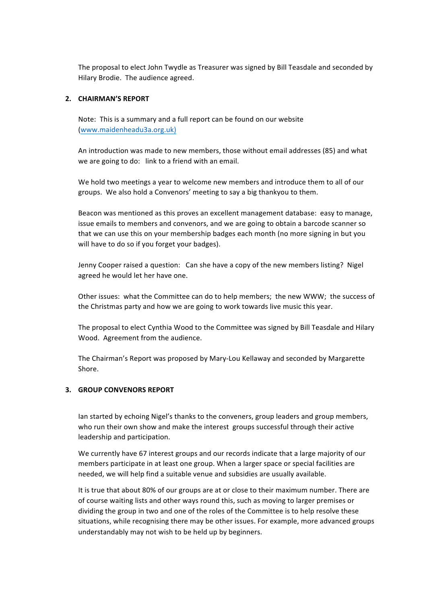The proposal to elect John Twydle as Treasurer was signed by Bill Teasdale and seconded by Hilary Brodie. The audience agreed.

# **2. CHAIRMAN'S REPORT**

Note: This is a summary and a full report can be found on our website (www.maidenheadu3a.org.uk)

An introduction was made to new members, those without email addresses (85) and what we are going to do: link to a friend with an email.

We hold two meetings a year to welcome new members and introduce them to all of our groups. We also hold a Convenors' meeting to say a big thankyou to them.

Beacon was mentioned as this proves an excellent management database: easy to manage, issue emails to members and convenors, and we are going to obtain a barcode scanner so that we can use this on your membership badges each month (no more signing in but you will have to do so if you forget your badges).

Jenny Cooper raised a question: Can she have a copy of the new members listing? Nigel agreed he would let her have one.

Other issues: what the Committee can do to help members; the new WWW; the success of the Christmas party and how we are going to work towards live music this year.

The proposal to elect Cynthia Wood to the Committee was signed by Bill Teasdale and Hilary Wood. Agreement from the audience.

The Chairman's Report was proposed by Mary-Lou Kellaway and seconded by Margarette Shore.

# **3. GROUP CONVENORS REPORT**

Ian started by echoing Nigel's thanks to the conveners, group leaders and group members, who run their own show and make the interest groups successful through their active leadership and participation.

We currently have 67 interest groups and our records indicate that a large majority of our members participate in at least one group. When a larger space or special facilities are needed, we will help find a suitable venue and subsidies are usually available.

It is true that about 80% of our groups are at or close to their maximum number. There are of course waiting lists and other ways round this, such as moving to larger premises or dividing the group in two and one of the roles of the Committee is to help resolve these situations, while recognising there may be other issues. For example, more advanced groups understandably may not wish to be held up by beginners.